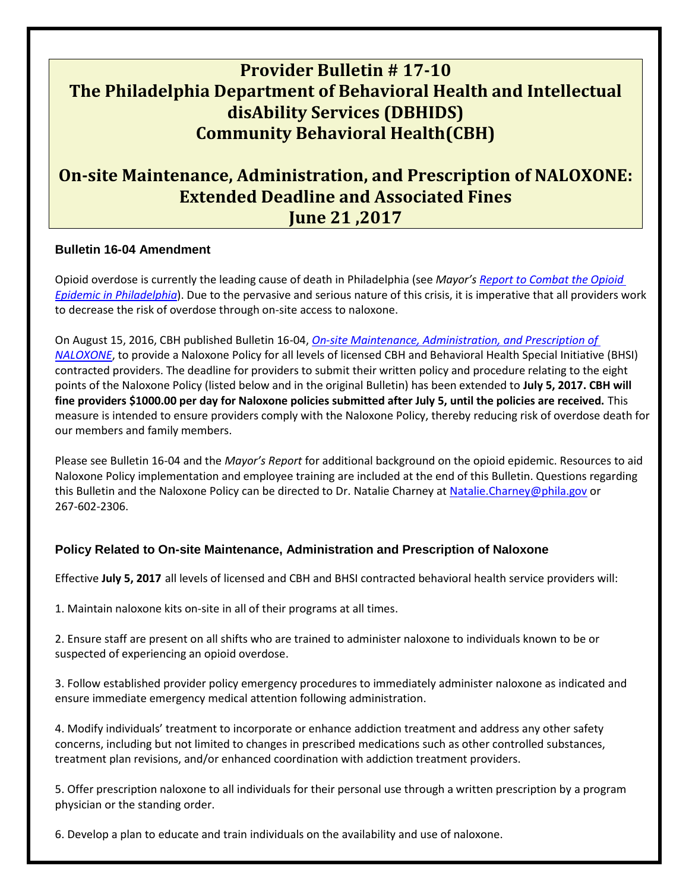# **Provider Bulletin # 17-10 The Philadelphia Department of Behavioral Health and Intellectual disAbility Services (DBHIDS) Community Behavioral Health(CBH)**

## **On‐site Maintenance, Administration, and Prescription of NALOXONE: Extended Deadline and Associated Fines June 21 ,2017**

### **Bulletin 16-04 Amendment**

Opioid overdose is currently the leading cause of death in Philadelphia (see *Mayor's [Report to Combat the Opioid](http://dbhids.org/wp-content/uploads/2017/05/OTF_Report.pdf) [Epidemic in Philadelphia](http://dbhids.org/wp-content/uploads/2017/05/OTF_Report.pdf)*). Due to the pervasive and serious nature of this crisis, it is imperative that all providers work to decrease the risk of overdose through on-site access to naloxone.

On August 15, 2016, CBH published Bulletin 16-04, *[On‐site Maintenance, Administration, and Prescription of](http://dbhids.org/wp-content/uploads/1970/01/Bulletin-16-04-Naloxone.pdf)  [NALOXONE](http://dbhids.org/wp-content/uploads/1970/01/Bulletin-16-04-Naloxone.pdf)*, to provide a Naloxone Policy for all levels of licensed CBH and Behavioral Health Special Initiative (BHSI) contracted providers. The deadline for providers to submit their written policy and procedure relating to the eight points of the Naloxone Policy (listed below and in the original Bulletin) has been extended to **July 5, 2017. CBH will fine providers \$1000.00 per day for Naloxone policies submitted after July 5, until the policies are received.** This measure is intended to ensure providers comply with the Naloxone Policy, thereby reducing risk of overdose death for our members and family members.

Please see Bulletin 16-04 and the *Mayor's Report* for additional background on the opioid epidemic. Resources to aid Naloxone Policy implementation and employee training are included at the end of this Bulletin. Questions regarding this Bulletin and the Naloxone Policy can be directed to Dr. Natalie Charney at [Natalie.Charney@phila.gov](mailto:Natalie.Charney@phila.gov) or 267‐602‐2306.

## **Policy Related to On-site Maintenance, Administration and Prescription of Naloxone**

Effective **July 5, 2017** all levels of licensed and CBH and BHSI contracted behavioral health service providers will:

1. Maintain naloxone kits on‐site in all of their programs at all times.

2. Ensure staff are present on all shifts who are trained to administer naloxone to individuals known to be or suspected of experiencing an opioid overdose.

3. Follow established provider policy emergency procedures to immediately administer naloxone as indicated and ensure immediate emergency medical attention following administration.

4. Modify individuals' treatment to incorporate or enhance addiction treatment and address any other safety concerns, including but not limited to changes in prescribed medications such as other controlled substances, treatment plan revisions, and/or enhanced coordination with addiction treatment providers.

5. Offer prescription naloxone to all individuals for their personal use through a written prescription by a program physician or the standing order.

6. Develop a plan to educate and train individuals on the availability and use of naloxone.